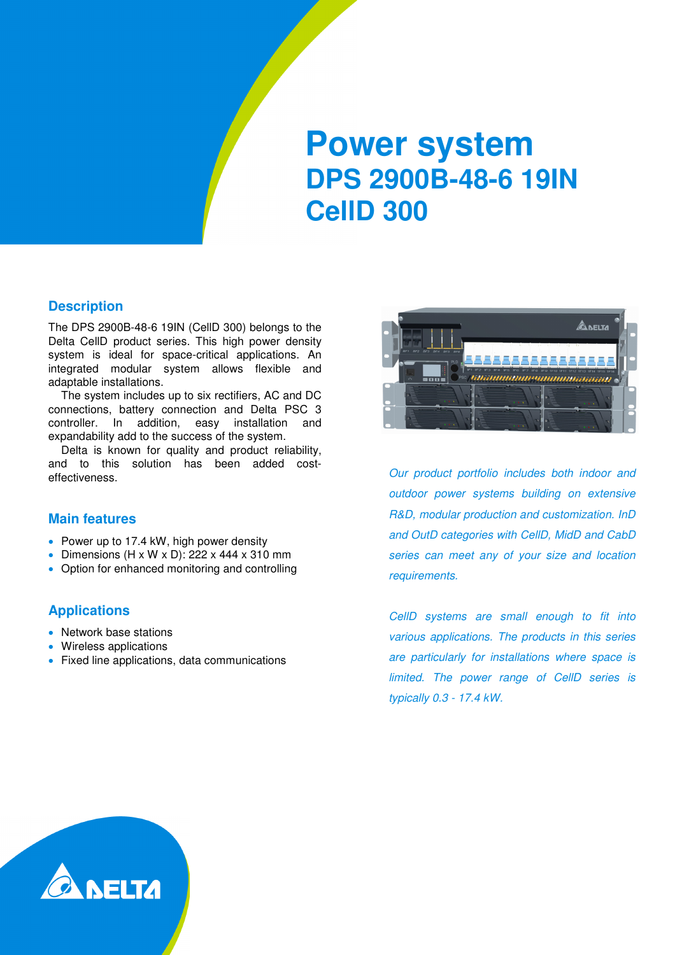# **Power system DPS 2900B-48-6 19IN CellD 300**

#### **Description**

The DPS 2900B-48-6 19IN (CellD 300) belongs to the Delta CellD product series. This high power density system is ideal for space-critical applications. An integrated modular system allows flexible and adaptable installations.

The system includes up to six rectifiers, AC and DC connections, battery connection and Delta PSC 3 controller. In addition, easy installation and expandability add to the success of the system.

Delta is known for quality and product reliability, and to this solution has been added costeffectiveness.

#### **Main features**

- Power up to 17.4 kW, high power density
- Dimensions  $(H \times W \times D)$ : 222 x 444 x 310 mm
- Option for enhanced monitoring and controlling

### **Applications**

- Network base stations
- Wireless applications
- Fixed line applications, data communications



Our product portfolio includes both indoor and outdoor power systems building on extensive R&D, modular production and customization. InD and OutD categories with CellD, MidD and CabD series can meet any of your size and location requirements.

CellD systems are small enough to fit into various applications. The products in this series are particularly for installations where space is limited. The power range of CellD series is typically 0.3 - 17.4 kW.